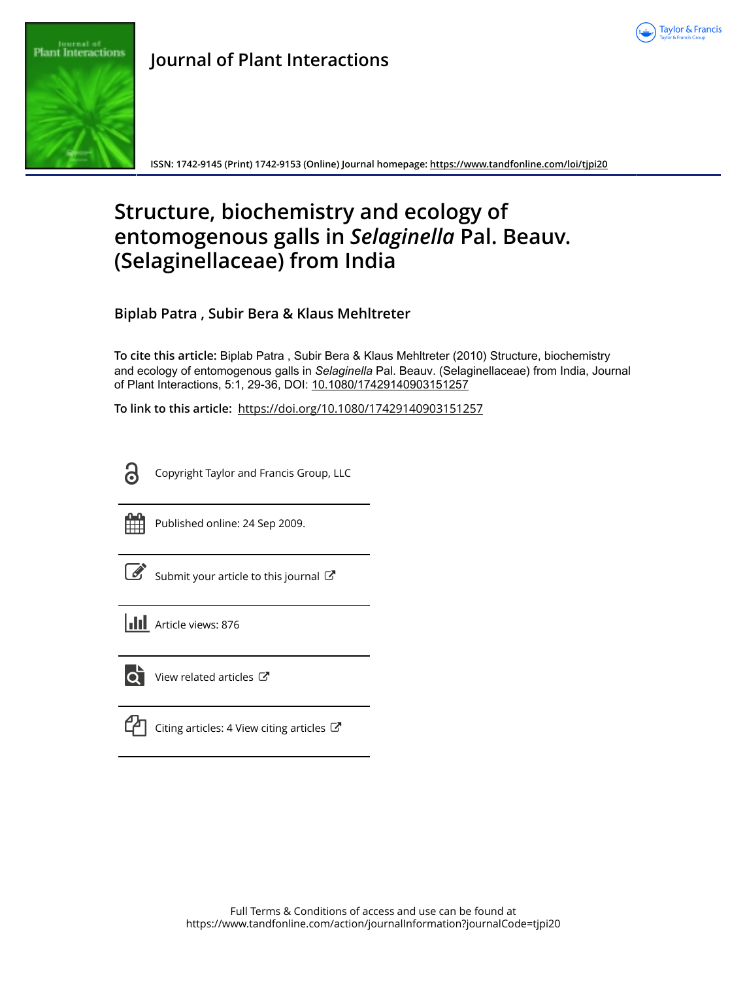



**ISSN: 1742-9145 (Print) 1742-9153 (Online) Journal homepage:<https://www.tandfonline.com/loi/tjpi20>**

# **Structure, biochemistry and ecology of entomogenous galls in** *Selaginella* **Pal. Beauv. (Selaginellaceae) from India**

**Biplab Patra , Subir Bera & Klaus Mehltreter**

**To cite this article:** Biplab Patra , Subir Bera & Klaus Mehltreter (2010) Structure, biochemistry and ecology of entomogenous galls in *Selaginella* Pal. Beauv. (Selaginellaceae) from India, Journal of Plant Interactions, 5:1, 29-36, DOI: [10.1080/17429140903151257](https://www.tandfonline.com/action/showCitFormats?doi=10.1080/17429140903151257)

**To link to this article:** <https://doi.org/10.1080/17429140903151257>



Copyright Taylor and Francis Group, LLC



Published online: 24 Sep 2009.

[Submit your article to this journal](https://www.tandfonline.com/action/authorSubmission?journalCode=tjpi20&show=instructions)  $\mathbb{Z}$ 

**III** Article views: 876



[View related articles](https://www.tandfonline.com/doi/mlt/10.1080/17429140903151257)  $\mathbb{Z}$ 

| ۰, |
|----|
|----|

[Citing articles: 4 View citing articles](https://www.tandfonline.com/doi/citedby/10.1080/17429140903151257#tabModule)  $\mathbb{C}^{\bullet}$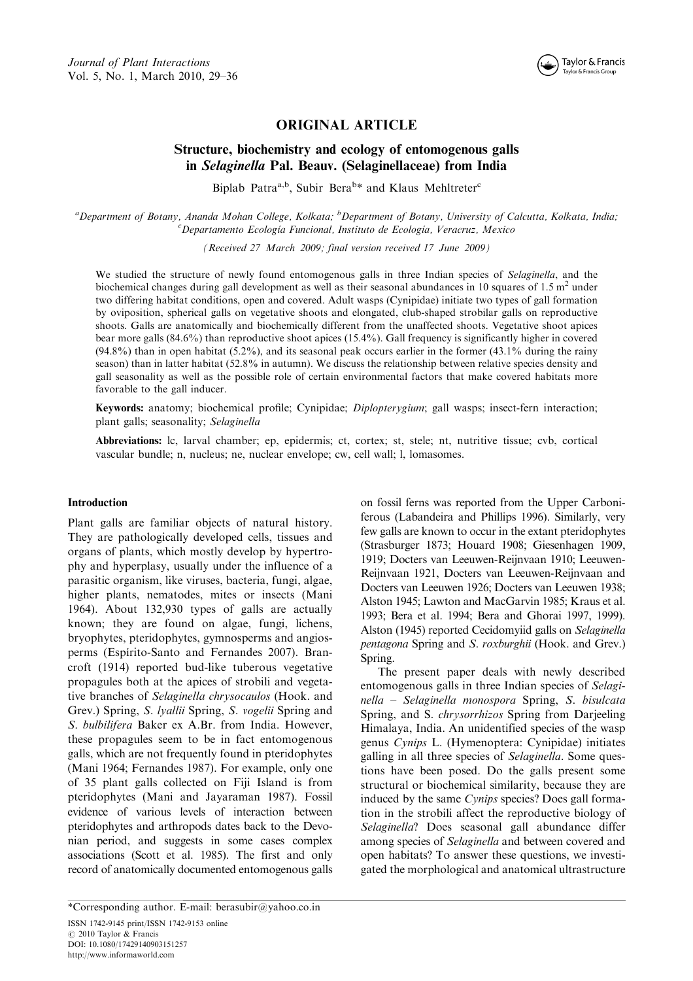

## ORIGINAL ARTICLE

# Structure, biochemistry and ecology of entomogenous galls in Selaginella Pal. Beauv. (Selaginellaceae) from India

Biplab Patra<sup>a,b</sup>, Subir Bera<sup>b\*</sup> and Klaus Mehltreter<sup>c</sup>

a Department of Botany, Ananda Mohan College, Kolkata; <sup>b</sup> Department of Botany, University of Calcutta, Kolkata, India;<br>Changetamente Ecclesia Euncional Institute da Ecclesia Vergeruz, Maxice  ${}^c$ Departamento Ecología Funcional, Instituto de Ecología, Veracruz, Mexico

(Received 27 March 2009; final version received 17 June 2009)

We studied the structure of newly found entomogenous galls in three Indian species of Selaginella, and the biochemical changes during gall development as well as their seasonal abundances in 10 squares of 1.5  $m<sup>2</sup>$  under two differing habitat conditions, open and covered. Adult wasps (Cynipidae) initiate two types of gall formation by oviposition, spherical galls on vegetative shoots and elongated, club-shaped strobilar galls on reproductive shoots. Galls are anatomically and biochemically different from the unaffected shoots. Vegetative shoot apices bear more galls (84.6%) than reproductive shoot apices (15.4%). Gall frequency is significantly higher in covered  $(94.8\%)$  than in open habitat (5.2%), and its seasonal peak occurs earlier in the former (43.1% during the rainy season) than in latter habitat (52.8% in autumn). We discuss the relationship between relative species density and gall seasonality as well as the possible role of certain environmental factors that make covered habitats more favorable to the gall inducer.

Keywords: anatomy; biochemical profile; Cynipidae; Diplopterygium; gall wasps; insect-fern interaction; plant galls; seasonality; Selaginella

Abbreviations: lc, larval chamber; ep, epidermis; ct, cortex; st, stele; nt, nutritive tissue; cvb, cortical vascular bundle; n, nucleus; ne, nuclear envelope; cw, cell wall; l, lomasomes.

#### Introduction

Plant galls are familiar objects of natural history. They are pathologically developed cells, tissues and organs of plants, which mostly develop by hypertrophy and hyperplasy, usually under the influence of a parasitic organism, like viruses, bacteria, fungi, algae, higher plants, nematodes, mites or insects (Mani 1964). About  $132,930$  types of galls are actually known; they are found on algae, fungi, lichens, bryophytes, pteridophytes, gymnosperms and angiosperms (Espírito-Santo and Fernandes 2007). Brancroft (1914) reported bud-like tuberous vegetative propagules both at the apices of strobili and vegetative branches of Selaginella chrysocaulos (Hook. and Grev.) Spring, S. lyallii Spring, S. vogelii Spring and S. bulbilifera Baker ex A.Br. from India. However, these propagules seem to be in fact entomogenous galls, which are not frequently found in pteridophytes (Mani 1964; Fernandes 1987). For example, only one of 35 plant galls collected on Fiji Island is from pteridophytes (Mani and Jayaraman 1987). Fossil evidence of various levels of interaction between pteridophytes and arthropods dates back to the Devonian period, and suggests in some cases complex associations (Scott et al. 1985). The first and only record of anatomically documented entomogenous galls

\*Corresponding author. E-mail: berasubir@yahoo.co.in ISSN 1742-9145 print/ISSN 1742-9153 online  $\odot$  2010 Taylor & Francis DOI: 10.1080/17429140903151257

<http://www.informaworld.com>

on fossil ferns was reported from the Upper Carboniferous (Labandeira and Phillips 1996). Similarly, very few galls are known to occur in the extant pteridophytes (Strasburger 1873; Houard 1908; Giesenhagen 1909, 1919; Docters van Leeuwen-Reijnvaan 1910; Leeuwen-Reijnvaan 1921, Docters van Leeuwen-Reijnvaan and Docters van Leeuwen 1926; Docters van Leeuwen 1938; Alston 1945; Lawton and MacGarvin 1985; Kraus et al. 1993; Bera et al. 1994; Bera and Ghorai 1997, 1999). Alston (1945) reported Cecidomyiid galls on Selaginella pentagona Spring and S. roxburghii (Hook. and Grev.) Spring.

The present paper deals with newly described entomogenous galls in three Indian species of Selaginella - Selaginella monospora Spring, S. bisulcata Spring, and S. chrysorrhizos Spring from Darjeeling Himalaya, India. An unidentified species of the wasp genus Cynips L. (Hymenoptera: Cynipidae) initiates galling in all three species of Selaginella. Some questions have been posed. Do the galls present some structural or biochemical similarity, because they are induced by the same Cynips species? Does gall formation in the strobili affect the reproductive biology of Selaginella? Does seasonal gall abundance differ among species of Selaginella and between covered and open habitats? To answer these questions, we investigated the morphological and anatomical ultrastructure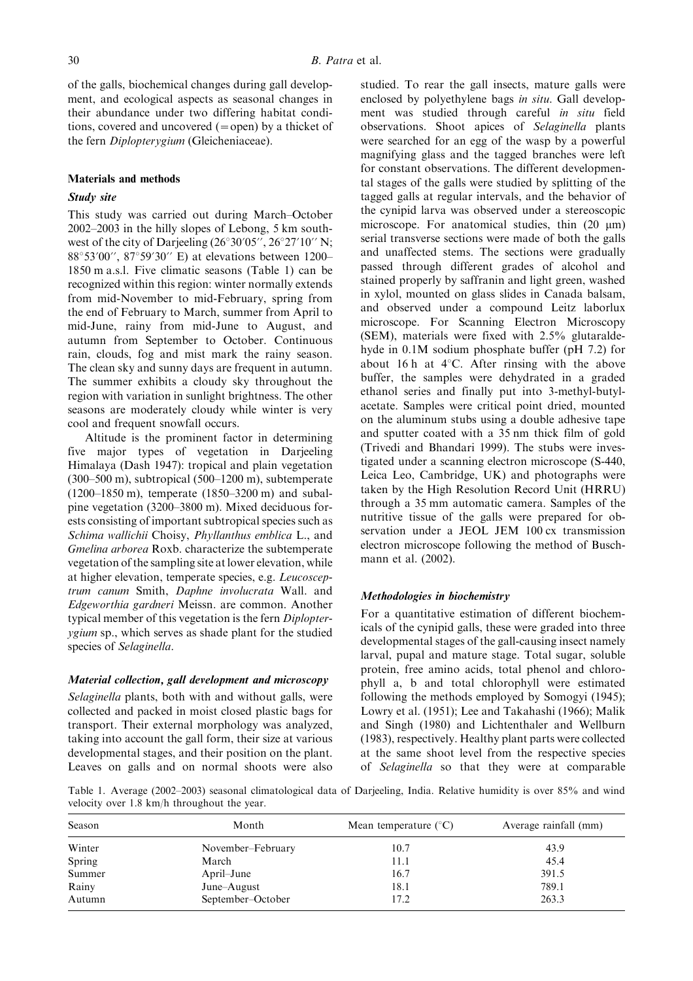of the galls, biochemical changes during gall development, and ecological aspects as seasonal changes in their abundance under two differing habitat conditions, covered and uncovered  $(=$ open) by a thicket of the fern Diplopterygium (Gleicheniaceae).

#### Materials and methods

#### Study site

This study was carried out during March-October  $2002-2003$  in the hilly slopes of Lebong, 5 km southwest of the city of Darjeeling  $(26°30'05'', 26°27'10''$  N; 88°53'00", 87°59'30" E) at elevations between 1200– 1850m a.s.l. Five climatic seasons (Table 1) can be recognized within this region: winter normally extends from mid-November to mid-February, spring from the end of February to March, summer from April to mid-June, rainy from mid-June to August, and autumn from September to October. Continuous rain, clouds, fog and mist mark the rainy season. The clean sky and sunny days are frequent in autumn. The summer exhibits a cloudy sky throughout the region with variation in sunlight brightness. The other seasons are moderately cloudy while winter is very cool and frequent snowfall occurs.

Altitude is the prominent factor in determining five major types of vegetation in Darjeeling Himalaya (Dash 1947): tropical and plain vegetation  $(300-500 \text{ m})$ , subtropical  $(500-1200 \text{ m})$ , subtemperate  $(1200-1850 \text{ m})$ , temperate  $(1850-3200 \text{ m})$  and subalpine vegetation (3200–3800 m). Mixed deciduous forests consisting of important subtropical species such as Schima wallichii Choisy, Phyllanthus emblica L., and Gmelina arborea Roxb. characterize the subtemperate vegetation of the sampling site at lower elevation, while at higher elevation, temperate species, e.g. Leucosceptrum canum Smith, Daphne involucrata Wall. and Edgeworthia gardneri Meissn. are common. Another typical member of this vegetation is the fern Diplopterygium sp., which serves as shade plant for the studied species of Selaginella.

## Material collection, gall development and microscopy

Selaginella plants, both with and without galls, were collected and packed in moist closed plastic bags for transport. Their external morphology was analyzed, taking into account the gall form, their size at various developmental stages, and their position on the plant. Leaves on galls and on normal shoots were also

studied. To rear the gall insects, mature galls were enclosed by polyethylene bags in situ. Gall development was studied through careful in situ field observations. Shoot apices of Selaginella plants were searched for an egg of the wasp by a powerful magnifying glass and the tagged branches were left for constant observations. The different developmental stages of the galls were studied by splitting of the tagged galls at regular intervals, and the behavior of the cynipid larva was observed under a stereoscopic microscope. For anatomical studies, thin  $(20 \mu m)$ serial transverse sections were made of both the galls and unaffected stems. The sections were gradually passed through different grades of alcohol and stained properly by saffranin and light green, washed in xylol, mounted on glass slides in Canada balsam, and observed under a compound Leitz laborlux microscope. For Scanning Electron Microscopy (SEM), materials were fixed with 2.5% glutaraldehyde in 0.1M sodium phosphate buffer (pH 7.2) for about 16 h at  $4^{\circ}$ C. After rinsing with the above buffer, the samples were dehydrated in a graded ethanol series and finally put into 3-methyl-butylacetate. Samples were critical point dried, mounted on the aluminum stubs using a double adhesive tape and sputter coated with a 35 nm thick film of gold (Trivedi and Bhandari 1999). The stubs were investigated under a scanning electron microscope (S-440, Leica Leo, Cambridge, UK) and photographs were taken by the High Resolution Record Unit (HRRU) through a 35 mm automatic camera. Samples of the nutritive tissue of the galls were prepared for observation under a JEOL JEM 100 cx transmission electron microscope following the method of Buschmann et al. (2002).

## Methodologies in biochemistry

For a quantitative estimation of different biochemicals of the cynipid galls, these were graded into three developmental stages of the gall-causing insect namely larval, pupal and mature stage. Total sugar, soluble protein, free amino acids, total phenol and chlorophyll a, b and total chlorophyll were estimated following the methods employed by Somogyi (1945); Lowry et al. (1951); Lee and Takahashi (1966); Malik and Singh (1980) and Lichtenthaler and Wellburn (1983), respectively. Healthy plant parts were collected at the same shoot level from the respective species of Selaginella so that they were at comparable

Table 1. Average (2002–2003) seasonal climatological data of Darjeeling, India. Relative humidity is over 85% and wind velocity over 1.8 km/h throughout the year.

| Season | Month             | Mean temperature $(^{\circ}C)$ | Average rainfall (mm) |  |
|--------|-------------------|--------------------------------|-----------------------|--|
| Winter | November-February | 10.7                           | 43.9                  |  |
| Spring | March             | 11.1                           | 45.4                  |  |
| Summer | April–June        | 16.7                           | 391.5                 |  |
| Rainy  | June–August       | 18.1                           | 789.1                 |  |
| Autumn | September-October | 17.2                           | 263.3                 |  |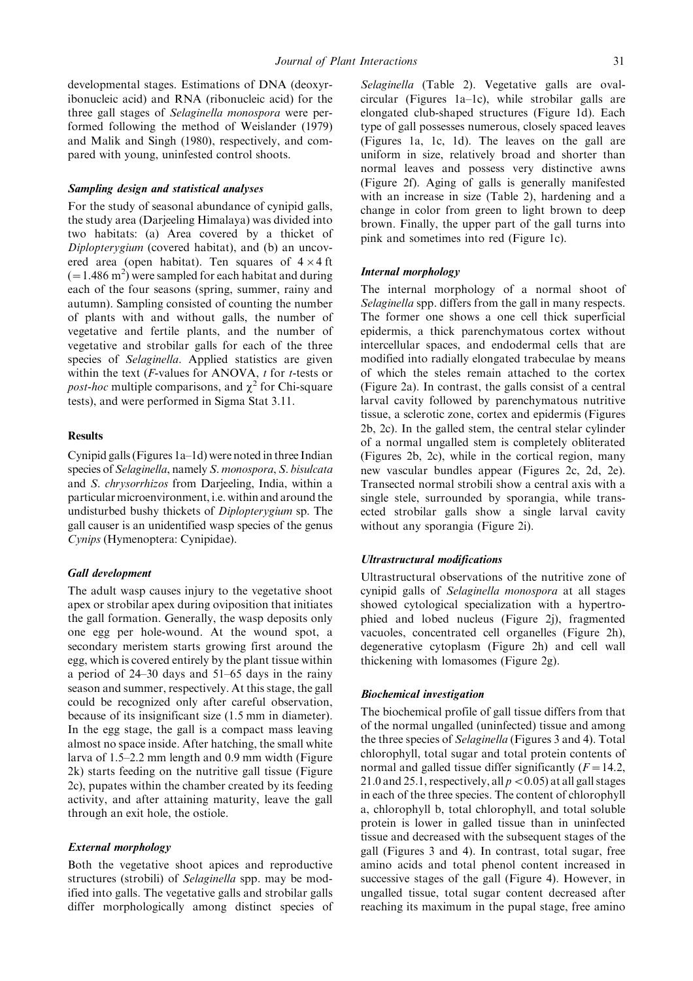developmental stages. Estimations of DNA (deoxyribonucleic acid) and RNA (ribonucleic acid) for the three gall stages of Selaginella monospora were performed following the method of Weislander (1979) and Malik and Singh (1980), respectively, and compared with young, uninfested control shoots.

#### Sampling design and statistical analyses

For the study of seasonal abundance of cynipid galls, the study area (Darjeeling Himalaya) was divided into two habitats: (a) Area covered by a thicket of Diplopterygium (covered habitat), and (b) an uncovered area (open habitat). Ten squares of  $4 \times 4$  ft  $(= 1.486 \text{ m}^2)$  were sampled for each habitat and during each of the four seasons (spring, summer, rainy and autumn). Sampling consisted of counting the number of plants with and without galls, the number of vegetative and fertile plants, and the number of vegetative and strobilar galls for each of the three species of Selaginella. Applied statistics are given within the text ( $F$ -values for ANOVA,  $t$  for  $t$ -tests or *post-hoc* multiple comparisons, and  $\chi^2$  for Chi-square tests), and were performed in Sigma Stat 3.11.

#### **Results**

Cynipid galls (Figures  $1a-1d$ ) were noted in three Indian species of Selaginella, namely S. monospora, S. bisulcata and S. chrysorrhizos from Darjeeling, India, within a particular microenvironment, i.e. within and around the undisturbed bushy thickets of Diplopterygium sp. The gall causer is an unidentified wasp species of the genus Cynips (Hymenoptera: Cynipidae).

#### Gall development

The adult wasp causes injury to the vegetative shoot apex or strobilar apex during oviposition that initiates the gall formation. Generally, the wasp deposits only one egg per hole-wound. At the wound spot, a secondary meristem starts growing first around the egg, which is covered entirely by the plant tissue within a period of  $24-30$  days and  $51-65$  days in the rainy season and summer, respectively. At this stage, the gall could be recognized only after careful observation, because of its insignificant size (1.5 mm in diameter). In the egg stage, the gall is a compact mass leaving almost no space inside. After hatching, the small white larva of  $1.5-2.2$  mm length and 0.9 mm width (Figure 2k) starts feeding on the nutritive gall tissue (Figure 2c), pupates within the chamber created by its feeding activity, and after attaining maturity, leave the gall through an exit hole, the ostiole.

#### External morphology

Both the vegetative shoot apices and reproductive structures (strobili) of Selaginella spp. may be modified into galls. The vegetative galls and strobilar galls differ morphologically among distinct species of Selaginella (Table 2). Vegetative galls are oval $circular$  (Figures 1a-1c), while strobilar galls are elongated club-shaped structures (Figure 1d). Each type of gall possesses numerous, closely spaced leaves (Figures 1a, 1c, 1d). The leaves on the gall are uniform in size, relatively broad and shorter than normal leaves and possess very distinctive awns (Figure 2f). Aging of galls is generally manifested with an increase in size (Table 2), hardening and a change in color from green to light brown to deep brown. Finally, the upper part of the gall turns into pink and sometimes into red (Figure 1c).

#### Internal morphology

The internal morphology of a normal shoot of Selaginella spp. differs from the gall in many respects. The former one shows a one cell thick superficial epidermis, a thick parenchymatous cortex without intercellular spaces, and endodermal cells that are modified into radially elongated trabeculae by means of which the steles remain attached to the cortex (Figure 2a). In contrast, the galls consist of a central larval cavity followed by parenchymatous nutritive tissue, a sclerotic zone, cortex and epidermis (Figures 2b, 2c). In the galled stem, the central stelar cylinder of a normal ungalled stem is completely obliterated (Figures 2b, 2c), while in the cortical region, many new vascular bundles appear (Figures 2c, 2d, 2e). Transected normal strobili show a central axis with a single stele, surrounded by sporangia, while transected strobilar galls show a single larval cavity without any sporangia (Figure 2i).

#### Ultrastructural modifications

Ultrastructural observations of the nutritive zone of cynipid galls of Selaginella monospora at all stages showed cytological specialization with a hypertrophied and lobed nucleus (Figure 2j), fragmented vacuoles, concentrated cell organelles (Figure 2h), degenerative cytoplasm (Figure 2h) and cell wall thickening with lomasomes (Figure 2g).

#### Biochemical investigation

The biochemical profile of gall tissue differs from that of the normal ungalled (uninfected) tissue and among the three species of Selaginella (Figures 3 and 4). Total chlorophyll, total sugar and total protein contents of normal and galled tissue differ significantly  $(F = 14.2,$ 21.0 and 25.1, respectively, all  $p < 0.05$ ) at all gall stages in each of the three species. The content of chlorophyll a, chlorophyll b, total chlorophyll, and total soluble protein is lower in galled tissue than in uninfected tissue and decreased with the subsequent stages of the gall (Figures 3 and 4). In contrast, total sugar, free amino acids and total phenol content increased in successive stages of the gall (Figure 4). However, in ungalled tissue, total sugar content decreased after reaching its maximum in the pupal stage, free amino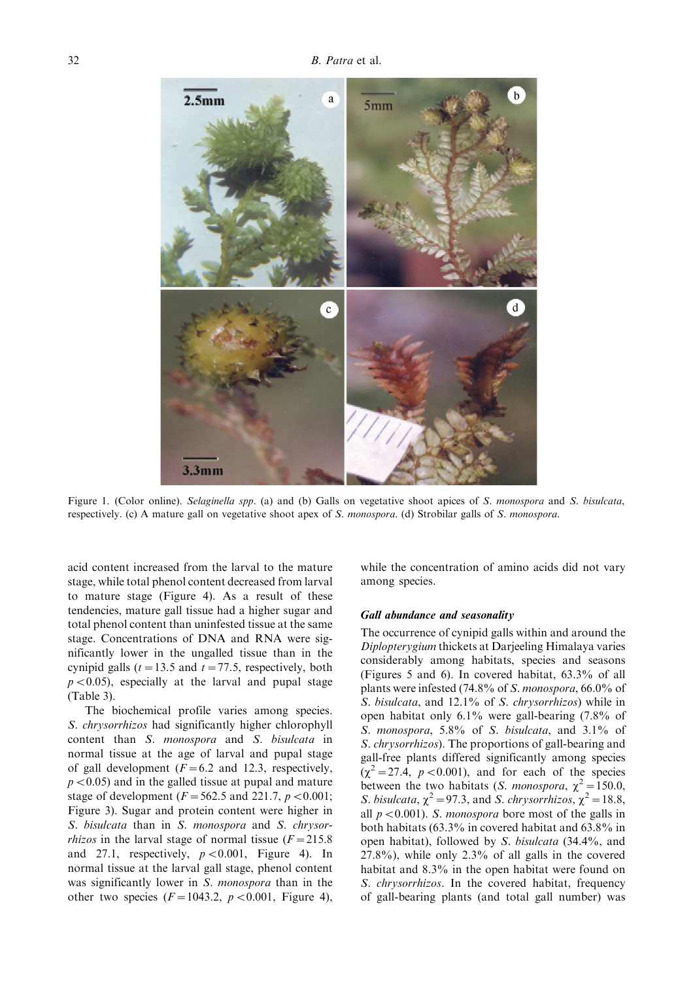

Figure 1. (Color online). Selaginella spp. (a) and (b) Galls on vegetative shoot apices of S. monospora and S. bisulcata, respectively. (c) A mature gall on vegetative shoot apex of S. monospora. (d) Strobilar galls of S. monospora.

acid content increased from the larval to the mature stage, while total phenol content decreased from larval to mature stage (Figure 4). As a result of these tendencies, mature gall tissue had a higher sugar and total phenol content than uninfested tissue at the same stage. Concentrations of DNA and RNA were significantly lower in the ungalled tissue than in the cynipid galls ( $t = 13.5$  and  $t = 77.5$ , respectively, both  $p < 0.05$ ), especially at the larval and pupal stage (Table 3).

The biochemical profile varies among species. S. chrysorrhizos had significantly higher chlorophyll content than S. monospora and S. bisulcata in normal tissue at the age of larval and pupal stage of gall development ( $F = 6.2$  and 12.3, respectively,  $p < 0.05$ ) and in the galled tissue at pupal and mature stage of development ( $F = 562.5$  and 221.7,  $p < 0.001$ ; Figure 3). Sugar and protein content were higher in S. bisulcata than in S. monospora and S. chrysor*rhizos* in the larval stage of normal tissue  $(F = 215.8$ and 27.1, respectively,  $p < 0.001$ , Figure 4). In normal tissue at the larval gall stage, phenol content was significantly lower in S. *monospora* than in the other two species  $(F = 1043.2, p < 0.001,$  Figure 4),

while the concentration of amino acids did not vary among species.

#### Gall abundance and seasonality

The occurrence of cynipid galls within and around the Diplopterygium thickets at Darjeeling Himalaya varies considerably among habitats, species and seasons (Figures 5 and 6). In covered habitat, 63.3% of all plants were infested (74.8% of S. monospora, 66.0% of S. bisulcata, and 12.1% of S. chrysorrhizos) while in open habitat only 6.1% were gall-bearing (7.8% of S. monospora, 5.8% of S. bisulcata, and 3.1% of S. chrysorrhizos). The proportions of gall-bearing and gall-free plants differed significantly among species  $(\chi^2 = 27.4, p < 0.001)$ , and for each of the species between the two habitats (*S. monospora*,  $\chi^2 = 150.0$ , S. bisulcata,  $\chi^2$  = 97.3, and S. chrysorrhizos,  $\chi^2$  = 18.8, all  $p < 0.001$ ). S. monospora bore most of the galls in both habitats (63.3% in covered habitat and 63.8% in open habitat), followed by S. bisulcata (34.4%, and 27.8%), while only 2.3% of all galls in the covered habitat and 8.3% in the open habitat were found on S. chrysorrhizos. In the covered habitat, frequency of gall-bearing plants (and total gall number) was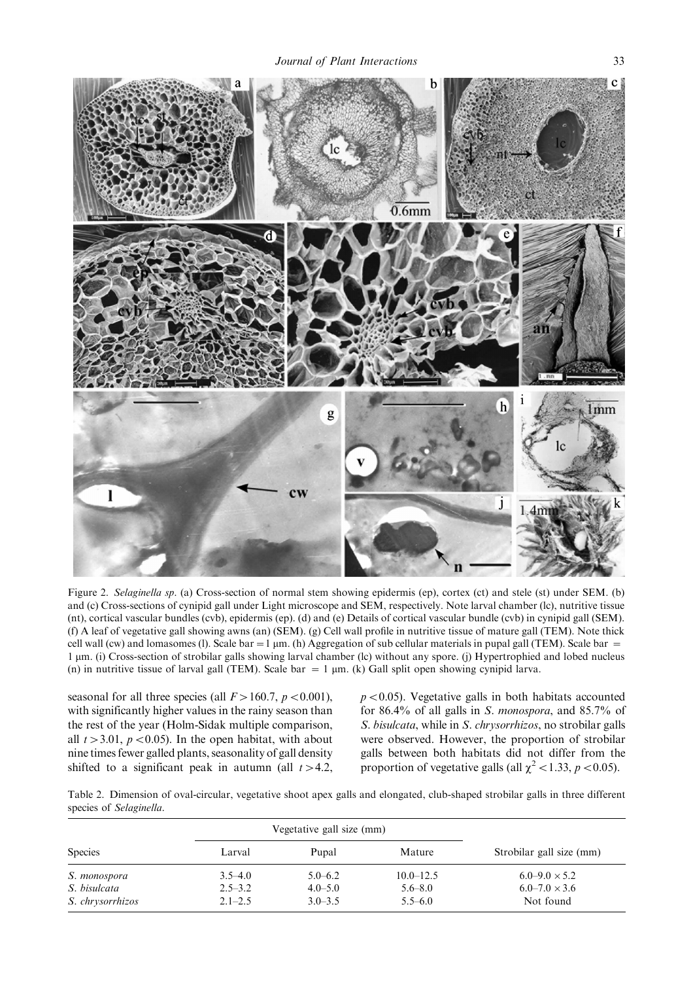

Figure 2. Selaginella sp. (a) Cross-section of normal stem showing epidermis (ep), cortex (ct) and stele (st) under SEM. (b) and (c) Cross-sections of cynipid gall under Light microscope and SEM, respectively. Note larval chamber (lc), nutritive tissue (nt), cortical vascular bundles (cvb), epidermis (ep). (d) and (e) Details of cortical vascular bundle (cvb) in cynipid gall (SEM). (f) A leaf of vegetative gall showing awns (an) (SEM). (g) Cell wall profile in nutritive tissue of mature gall (TEM). Note thick cell wall (cw) and lomasomes (1). Scale bar =  $1 \mu m$ . (h) Aggregation of sub cellular materials in pupal gall (TEM). Scale bar = 1 mm. (i) Cross-section of strobilar galls showing larval chamber (lc) without any spore. (j) Hypertrophied and lobed nucleus (n) in nutritive tissue of larval gall (TEM). Scale bar  $= 1 \mu m$ . (k) Gall split open showing cynipid larva.

seasonal for all three species (all  $F > 160.7$ ,  $p < 0.001$ ), with significantly higher values in the rainy season than the rest of the year (Holm-Sidak multiple comparison, all  $t > 3.01$ ,  $p < 0.05$ ). In the open habitat, with about nine times fewer galled plants, seasonality of gall density shifted to a significant peak in autumn (all  $t > 4.2$ ,

 $p < 0.05$ ). Vegetative galls in both habitats accounted for 86.4% of all galls in S. monospora, and 85.7% of S. bisulcata, while in S. chrysorrhizos, no strobilar galls were observed. However, the proportion of strobilar galls between both habitats did not differ from the proportion of vegetative galls (all  $\chi^2$  < 1.33, p < 0.05).

Table 2. Dimension of oval-circular, vegetative shoot apex galls and elongated, club-shaped strobilar galls in three different species of Selaginella.

|                  |             | Vegetative gall size (mm) |               |                          |
|------------------|-------------|---------------------------|---------------|--------------------------|
| <b>Species</b>   | Larval      | Pupal                     | Mature        | Strobilar gall size (mm) |
| S. monospora     | $3.5 - 4.0$ | $5.0 - 6.2$               | $10.0 - 12.5$ | $6.0 - 9.0 \times 5.2$   |
| S. bisulcata     | $2.5 - 3.2$ | $4.0 - 5.0$               | $5.6 - 8.0$   | $6.0 - 7.0 \times 3.6$   |
| S. chrysorrhizos | $2.1 - 2.5$ | $3.0 - 3.5$               | $5.5 - 6.0$   | Not found                |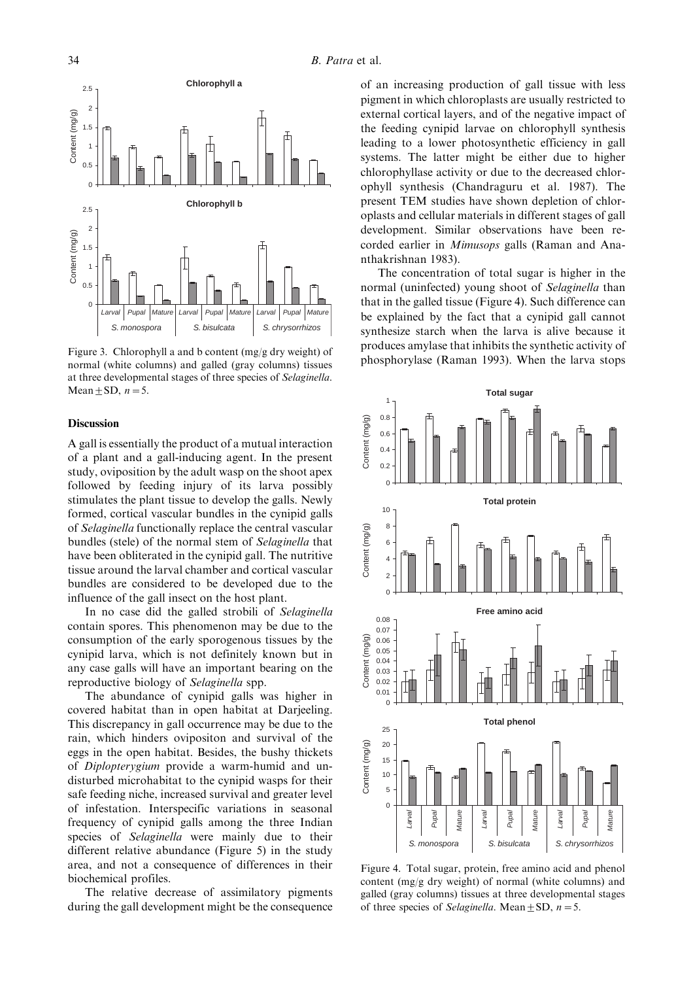

Figure 3. Chlorophyll a and b content (mg/g dry weight) of normal (white columns) and galled (gray columns) tissues at three developmental stages of three species of Selaginella. Mean  $\pm$  SD,  $n=5$ .

#### Discussion

A gall is essentially the product of a mutual interaction of a plant and a gall-inducing agent. In the present study, oviposition by the adult wasp on the shoot apex followed by feeding injury of its larva possibly stimulates the plant tissue to develop the galls. Newly formed, cortical vascular bundles in the cynipid galls of Selaginella functionally replace the central vascular bundles (stele) of the normal stem of Selaginella that have been obliterated in the cynipid gall. The nutritive tissue around the larval chamber and cortical vascular bundles are considered to be developed due to the influence of the gall insect on the host plant.

In no case did the galled strobili of Selaginella contain spores. This phenomenon may be due to the consumption of the early sporogenous tissues by the cynipid larva, which is not definitely known but in any case galls will have an important bearing on the reproductive biology of Selaginella spp.

The abundance of cynipid galls was higher in covered habitat than in open habitat at Darjeeling. This discrepancy in gall occurrence may be due to the rain, which hinders ovipositon and survival of the eggs in the open habitat. Besides, the bushy thickets of Diplopterygium provide a warm-humid and undisturbed microhabitat to the cynipid wasps for their safe feeding niche, increased survival and greater level of infestation. Interspecific variations in seasonal frequency of cynipid galls among the three Indian species of *Selaginella* were mainly due to their different relative abundance (Figure 5) in the study area, and not a consequence of differences in their biochemical profiles.

The relative decrease of assimilatory pigments during the gall development might be the consequence of an increasing production of gall tissue with less pigment in which chloroplasts are usually restricted to external cortical layers, and of the negative impact of the feeding cynipid larvae on chlorophyll synthesis leading to a lower photosynthetic efficiency in gall systems. The latter might be either due to higher chlorophyllase activity or due to the decreased chlorophyll synthesis (Chandraguru et al. 1987). The present TEM studies have shown depletion of chloroplasts and cellular materials in different stages of gall development. Similar observations have been recorded earlier in Mimusops galls (Raman and Ananthakrishnan 1983).

The concentration of total sugar is higher in the normal (uninfected) young shoot of Selaginella than that in the galled tissue (Figure 4). Such difference can be explained by the fact that a cynipid gall cannot synthesize starch when the larva is alive because it produces amylase that inhibits the synthetic activity of phosphorylase (Raman 1993). When the larva stops



Figure 4. Total sugar, protein, free amino acid and phenol content (mg/g dry weight) of normal (white columns) and galled (gray columns) tissues at three developmental stages of three species of *Selaginella*. Mean  $\pm$  SD,  $n = 5$ .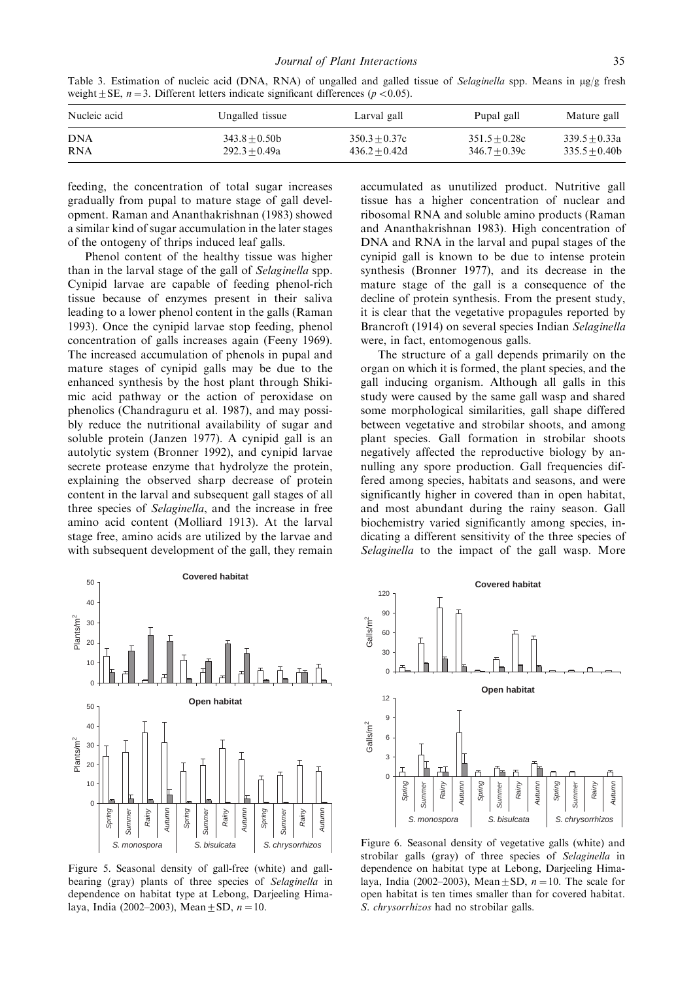Table 3. Estimation of nucleic acid (DNA, RNA) of ungalled and galled tissue of Selaginella spp. Means in  $\mu$ g/g fresh weight  $\pm$  SE,  $n = 3$ . Different letters indicate significant differences ( $p < 0.05$ ).

| Nucleic acid | Ungalled tissue | Larval gall     | Pupal gall      | Mature gall     |
|--------------|-----------------|-----------------|-----------------|-----------------|
| <b>DNA</b>   | $343.8 + 0.50b$ | $350.3 + 0.37c$ | $351.5 + 0.28c$ | $339.5 + 0.33a$ |
| <b>RNA</b>   | $292.3 + 0.49a$ | $436.2 + 0.42d$ | $346.7 + 0.39c$ | $335.5 + 0.40b$ |

feeding, the concentration of total sugar increases gradually from pupal to mature stage of gall development. Raman and Ananthakrishnan (1983) showed a similar kind of sugar accumulation in the later stages of the ontogeny of thrips induced leaf galls.

Phenol content of the healthy tissue was higher than in the larval stage of the gall of Selaginella spp. Cynipid larvae are capable of feeding phenol-rich tissue because of enzymes present in their saliva leading to a lower phenol content in the galls (Raman 1993). Once the cynipid larvae stop feeding, phenol concentration of galls increases again (Feeny 1969). The increased accumulation of phenols in pupal and mature stages of cynipid galls may be due to the enhanced synthesis by the host plant through Shikimic acid pathway or the action of peroxidase on phenolics (Chandraguru et al. 1987), and may possibly reduce the nutritional availability of sugar and soluble protein (Janzen 1977). A cynipid gall is an autolytic system (Bronner 1992), and cynipid larvae secrete protease enzyme that hydrolyze the protein, explaining the observed sharp decrease of protein content in the larval and subsequent gall stages of all three species of Selaginella, and the increase in free amino acid content (Molliard 1913). At the larval stage free, amino acids are utilized by the larvae and with subsequent development of the gall, they remain

**Covered habitat**  $\Omega$  $10$ 20 30 40 50  $P$ lants/m $<sup>2</sup>$ </sup> **Open habitat**  $\epsilon$  $10$ 20 30 40 50 Spring Summer Rainy Autumn Spring Summer Rainy Autumn Spring Summer Rainy Autumn S. monospora | S. bisulcata | S. chrysorrhizos  $=$ lants/m $<sup>2</sup>$ </sup>

Figure 5. Seasonal density of gall-free (white) and gallbearing (gray) plants of three species of Selaginella in dependence on habitat type at Lebong, Darjeeling Himalaya, India (2002–2003), Mean  $\pm$  SD,  $n = 10$ .

accumulated as unutilized product. Nutritive gall tissue has a higher concentration of nuclear and ribosomal RNA and soluble amino products (Raman and Ananthakrishnan 1983). High concentration of DNA and RNA in the larval and pupal stages of the cynipid gall is known to be due to intense protein synthesis (Bronner 1977), and its decrease in the mature stage of the gall is a consequence of the decline of protein synthesis. From the present study, it is clear that the vegetative propagules reported by Brancroft (1914) on several species Indian Selaginella were, in fact, entomogenous galls.

The structure of a gall depends primarily on the organ on which it is formed, the plant species, and the gall inducing organism. Although all galls in this study were caused by the same gall wasp and shared some morphological similarities, gall shape differed between vegetative and strobilar shoots, and among plant species. Gall formation in strobilar shoots negatively affected the reproductive biology by annulling any spore production. Gall frequencies differed among species, habitats and seasons, and were significantly higher in covered than in open habitat, and most abundant during the rainy season. Gall biochemistry varied significantly among species, indicating a different sensitivity of the three species of Selaginella to the impact of the gall wasp. More



Figure 6. Seasonal density of vegetative galls (white) and strobilar galls (gray) of three species of Selaginella in dependence on habitat type at Lebong, Darjeeling Himalaya, India (2002–2003), Mean  $\pm$  SD,  $n = 10$ . The scale for open habitat is ten times smaller than for covered habitat. S. chrysorrhizos had no strobilar galls.